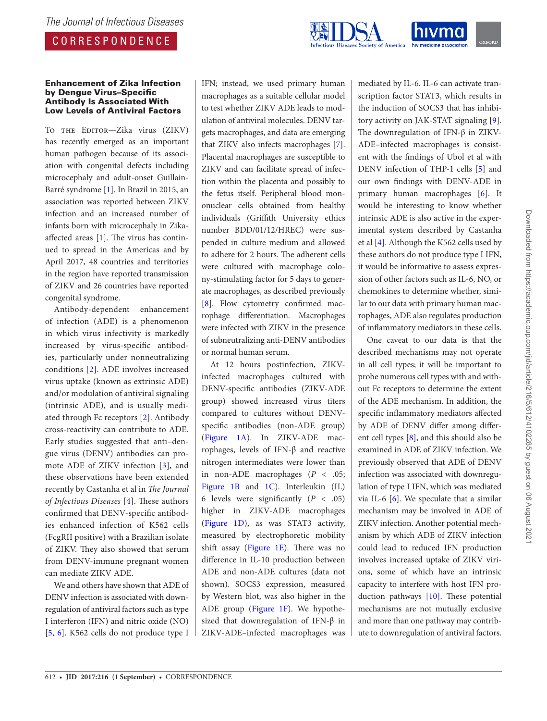# CORRESPONDENCE



#### Enhancement of Zika Infection by Dengue Virus–Specific Antibody Is Associated With Low Levels of Antiviral Factors

To THE EDITOR-Zika virus (ZIKV) has recently emerged as an important human pathogen because of its association with congenital defects including microcephaly and adult-onset Guillain-Barré syndrome [1]. In Brazil in 2015, an association was reported between ZIKV infection and an increased number of infants born with microcephaly in Zikaaffected areas [1]. The virus has continued to spread in the Americas and by April 2017, 48 countries and territories in the region have reported transmission of ZIKV and 26 countries have reported congenital syndrome.

Antibody-dependent enhancement of infection (ADE) is a phenomenon in which virus infectivity is markedly increased by virus-specific antibodies, particularly under nonneutralizing conditions [2]. ADE involves increased virus uptake (known as extrinsic ADE) and/or modulation of antiviral signaling (intrinsic ADE), and is usually mediated through Fc receptors [2]. Antibody cross-reactivity can contribute to ADE. Early studies suggested that anti–dengue virus (DENV) antibodies can promote ADE of ZIKV infection [3], and these observations have been extended recently by Castanha et al in The Journal of Infectious Diseases  $[4]$ . These authors confirmed that DENV-specific antibodies enhanced infection of K562 cells (FcgRII positive) with a Brazilian isolate of ZIKV. They also showed that serum from DENV-immune pregnant women can mediate ZIKV ADE.

We and others have shown that ADE of DENV infection is associated with downregulation of antiviral factors such as type I interferon (IFN) and nitric oxide (NO) [5, 6]. K562 cells do not produce type I IFN; instead, we used primary human macrophages as a suitable cellular model to test whether ZIKV ADE leads to modulation of antiviral molecules. DENV targets macrophages, and data are emerging that ZIKV also infects macrophages [7]. Placental macrophages are susceptible to ZIKV and can facilitate spread of infection within the placenta and possibly to the fetus itself. Peripheral blood mononuclear cells obtained from healthy individuals (Griffith University ethics number BDD/01/12/HREC) were suspended in culture medium and allowed to adhere for 2 hours. The adherent cells were cultured with macrophage colony-stimulating factor for 5 days to generate macrophages, as described previously [8]. Flow cytometry confirmed macrophage differentiation. Macrophages were infected with ZIKV in the presence of subneutralizing anti-DENV antibodies or normal human serum.

At 12 hours postinfection, ZIKVinfected macrophages cultured with DENV-specific antibodies (ZIKV-ADE group) showed increased virus titers compared to cultures without DENVspecific antibodies (non-ADE group) (Figure 1A). In ZIKV-ADE macrophages, levels of IFN-β and reactive nitrogen intermediates were lower than in non-ADE macrophages ( $P < .05$ ; Figure 1B and 1C). Interleukin (IL) 6 levels were significantly  $(P < .05)$ higher in ZIKV-ADE macrophages (Figure 1D), as was STAT3 activity, measured by electrophoretic mobility shift assay (Figure  $1E$ ). There was no difference in IL-10 production between ADE and non-ADE cultures (data not shown). SOCS3 expression, measured by Western blot, was also higher in the ADE group (Figure 1F). We hypothesized that downregulation of IFN-β in ZIKV-ADE–infected macrophages was

mediated by IL-6. IL-6 can activate transcription factor STAT3, which results in the induction of SOCS3 that has inhibitory activity on JAK-STAT signaling [9]. The downregulation of IFN-β in ZIKV-ADE–infected macrophages is consistent with the findings of Ubol et al with DENV infection of THP-1 cells [5] and our own findings with DENV-ADE in primary human macrophages [6]. It would be interesting to know whether intrinsic ADE is also active in the experimental system described by Castanha et al [4]. Although the K562 cells used by these authors do not produce type I IFN, it would be informative to assess expression of other factors such as IL-6, NO, or chemokines to determine whether, similar to our data with primary human macrophages, ADE also regulates production of inflammatory mediators in these cells.

One caveat to our data is that the described mechanisms may not operate in all cell types; it will be important to probe numerous cell types with and without Fc receptors to determine the extent of the ADE mechanism. In addition, the specific inflammatory mediators affected by ADE of DENV differ among different cell types [8], and this should also be examined in ADE of ZIKV infection. We previously observed that ADE of DENV infection was associated with downregulation of type I IFN, which was mediated via IL-6 [6]. We speculate that a similar mechanism may be involved in ADE of ZIKV infection. Another potential mechanism by which ADE of ZIKV infection could lead to reduced IFN production involves increased uptake of ZIKV virions, some of which have an intrinsic capacity to interfere with host IFN production pathways [10]. These potential mechanisms are not mutually exclusive and more than one pathway may contribute to downregulation of antiviral factors.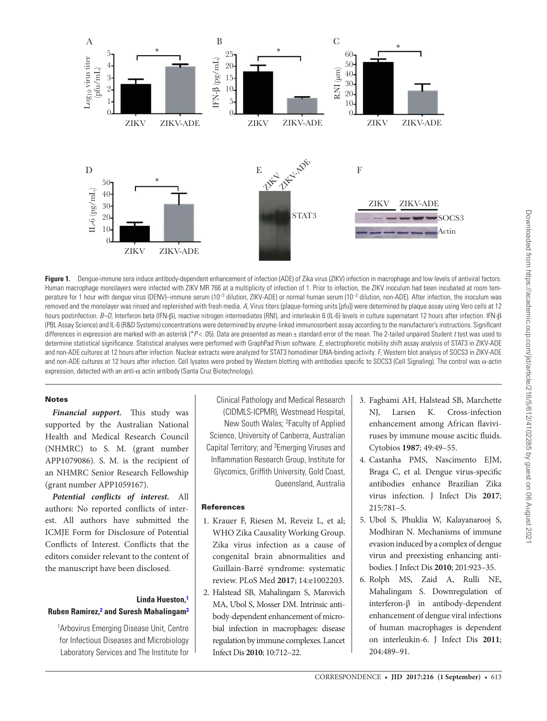

Figure 1. Dengue-immune sera induce antibody-dependent enhancement of infection (ADE) of Zika virus (ZIKV) infection in macrophage and low levels of antiviral factors. Human macrophage monolayers were infected with ZIKV MR 766 at a multiplicity of infection of 1. Prior to infection, the ZIKV inoculum had been incubated at room temperature for 1 hour with dengue virus (DENV)–immune serum (10<sup>-3</sup> dilution, ZIKV-ADE) or normal human serum (10<sup>-3</sup> dilution, non-ADE). After infection, the inoculum was removed and the monolayer was rinsed and replenished with fresh media. A, Virus titers (plaque-forming units [pfu]) were determined by plaque assay using Vero cells at 12 hours postinfection. B–D, Interferon beta (IFN-β), reactive nitrogen intermediates (RNI), and interleukin 6 (IL-6) levels in culture supernatant 12 hours after infection. IFN-β (PBL Assay Science) and IL-6 (R&D Systems) concentrations were determined by enzyme-linked immunosorbent assay according to the manufacturer's instructions. Significant differences in expression are marked with an asterisk (\* $P < 0.05$ ). Data are presented as mean  $\pm$  standard error of the mean. The 2-tailed unpaired Student t test was used to determine statistical significance. Statistical analyses were performed with GraphPad Prism software. E, electrophoretic mobility shift assay analysis of STAT3 in ZIKV-ADE and non-ADE cultures at 12 hours after infection. Nuclear extracts were analyzed for STAT3 homodimer DNA-binding activity. F, Western blot analysis of SOCS3 in ZIKV-ADE and non-ADE cultures at 12 hours after infection. Cell lysates were probed by Western blotting with antibodies specific to SOCS3 (Cell Signaling). The control was α-actin expression, detected with an anti-α actin antibody (Santa Cruz Biotechnology).

### **Notes**

**Financial support.** This study was supported by the Australian National Health and Medical Research Council (NHMRC) to S. M. (grant number APP1079086). S. M. is the recipient of an NHMRC Senior Research Fellowship (grant number APP1059167).

**Potential conflicts of interest.** All authors: No reported conflicts of interest. All authors have submitted the ICMJE Form for Disclosure of Potential Conflicts of Interest. Conflicts that the editors consider relevant to the content of the manuscript have been disclosed.

## **Linda Hueston,<sup>1</sup> Ruben Ramirez,<sup>2</sup> and Suresh Mahalingam<sup>3</sup>**

<sup>1</sup>Arbovirus Emerging Disease Unit, Centre for Infectious Diseases and Microbiology Laboratory Services and The Institute for

Clinical Pathology and Medical Research (CIDMLS-ICPMR), Westmead Hospital, New South Wales; <sup>2</sup> Faculty of Applied Science, University of Canberra, Australian Capital Territory; and <sup>3</sup>Emerging Viruses and Inflammation Research Group, Institute for Glycomics, Griffith University, Gold Coast, Queensland, Australia

## **References**

- 1. Krauer F, Riesen M, Reveiz L, et al; WHO Zika Causality Working Group. Zika virus infection as a cause of congenital brain abnormalities and Guillain-Barré syndrome: systematic review. PLoS Med **2017**; 14:e1002203.
- 2. Halstead SB, Mahalingam S, Marovich MA, Ubol S, Mosser DM. Intrinsic antibody-dependent enhancement of microbial infection in macrophages: disease regulation by immune complexes. Lancet Infect Dis **2010**; 10:712–22.
- 3. Fagbami AH, Halstead SB, Marchette NJ, Larsen K. Cross-infection enhancement among African flaviviruses by immune mouse ascitic fluids. Cytobios **1987**; 49:49–55.
- 4. Castanha PMS, Nascimento EJM, Braga C, et al. Dengue virus-specific antibodies enhance Brazilian Zika virus infection. J Infect Dis **2017**; 215:781–5.
- 5. Ubol S, Phuklia W, Kalayanarooj S, Modhiran N. Mechanisms of immune evasion induced by a complex of dengue virus and preexisting enhancing antibodies. J Infect Dis **2010**; 201:923–35.
- 6. Rolph MS, Zaid A, Rulli NE, Mahalingam S. Downregulation of interferon-β in antibody-dependent enhancement of dengue viral infections of human macrophages is dependent on interleukin-6. J Infect Dis **2011**; 204:489–91.